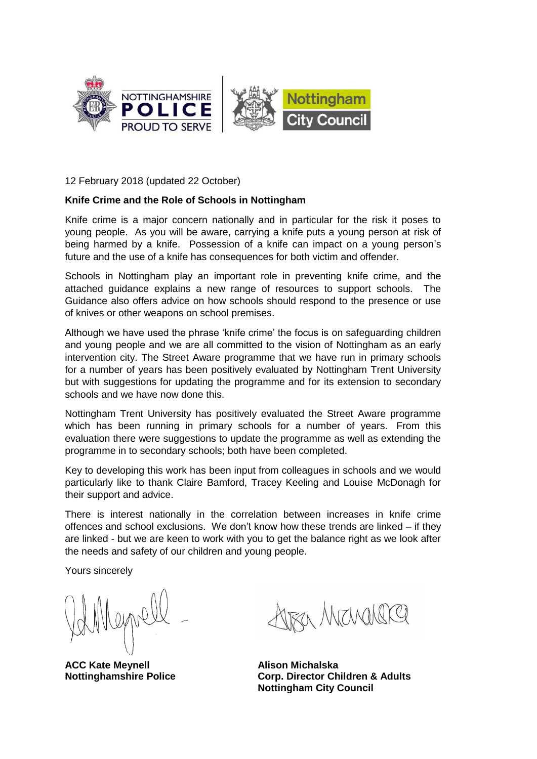

12 February 2018 (updated 22 October)

#### **Knife Crime and the Role of Schools in Nottingham**

Knife crime is a major concern nationally and in particular for the risk it poses to young people. As you will be aware, carrying a knife puts a young person at risk of being harmed by a knife. Possession of a knife can impact on a young person's future and the use of a knife has consequences for both victim and offender.

Schools in Nottingham play an important role in preventing knife crime, and the attached guidance explains a new range of resources to support schools. The Guidance also offers advice on how schools should respond to the presence or use of knives or other weapons on school premises.

Although we have used the phrase 'knife crime' the focus is on safeguarding children and young people and we are all committed to the vision of Nottingham as an early intervention city. The Street Aware programme that we have run in primary schools for a number of years has been positively evaluated by Nottingham Trent University but with suggestions for updating the programme and for its extension to secondary schools and we have now done this.

Nottingham Trent University has positively evaluated the Street Aware programme which has been running in primary schools for a number of years. From this evaluation there were suggestions to update the programme as well as extending the programme in to secondary schools; both have been completed.

Key to developing this work has been input from colleagues in schools and we would particularly like to thank Claire Bamford, Tracey Keeling and Louise McDonagh for their support and advice.

There is interest nationally in the correlation between increases in knife crime offences and school exclusions. We don't know how these trends are linked – if they are linked - but we are keen to work with you to get the balance right as we look after the needs and safety of our children and young people.

Yours sincerely

**ACC Kate Meynell Nottinghamshire Police**

a Marguel

**Alison Michalska Corp. Director Children & Adults Nottingham City Council**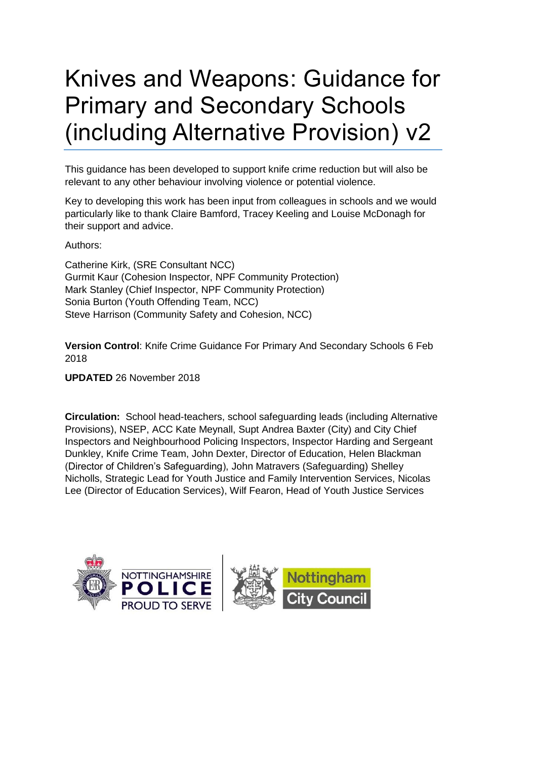## Knives and Weapons: Guidance for Primary and Secondary Schools (including Alternative Provision) v2

This guidance has been developed to support knife crime reduction but will also be relevant to any other behaviour involving violence or potential violence.

Key to developing this work has been input from colleagues in schools and we would particularly like to thank Claire Bamford, Tracey Keeling and Louise McDonagh for their support and advice.

Authors:

Catherine Kirk, (SRE Consultant NCC) Gurmit Kaur (Cohesion Inspector, NPF Community Protection) Mark Stanley (Chief Inspector, NPF Community Protection) Sonia Burton (Youth Offending Team, NCC) Steve Harrison (Community Safety and Cohesion, NCC)

**Version Control**: Knife Crime Guidance For Primary And Secondary Schools 6 Feb 2018

**UPDATED** 26 November 2018

**Circulation:** School head-teachers, school safeguarding leads (including Alternative Provisions), NSEP, ACC Kate Meynall, Supt Andrea Baxter (City) and City Chief Inspectors and Neighbourhood Policing Inspectors, Inspector Harding and Sergeant Dunkley, Knife Crime Team, John Dexter, Director of Education, Helen Blackman (Director of Children's Safeguarding), John Matravers (Safeguarding) Shelley Nicholls, Strategic Lead for Youth Justice and Family Intervention Services, Nicolas Lee (Director of Education Services), Wilf Fearon, Head of Youth Justice Services

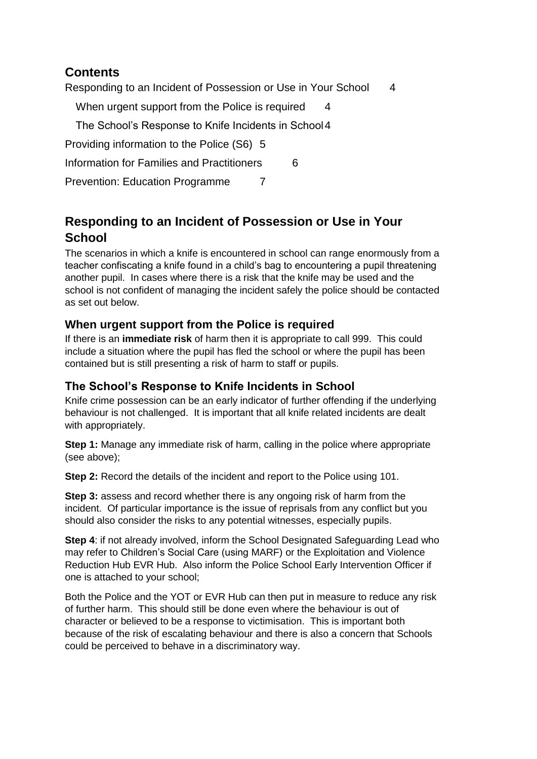### **Contents**

[Responding to an Incident of Possession or Use in Your School](#page-3-0) 4

[When urgent support from the Police is required](#page-3-1) 4

[The School's Response to Knife Incidents in School4](#page-3-2)

[Providing information to the Police \(S6\)](#page-4-0) 5

[Information for Families and Practitioners](#page-5-0) 6

[Prevention: Education Programme](#page-5-1) 7

## <span id="page-3-0"></span>**Responding to an Incident of Possession or Use in Your School**

The scenarios in which a knife is encountered in school can range enormously from a teacher confiscating a knife found in a child's bag to encountering a pupil threatening another pupil. In cases where there is a risk that the knife may be used and the school is not confident of managing the incident safely the police should be contacted as set out below.

#### <span id="page-3-1"></span>**When urgent support from the Police is required**

If there is an **immediate risk** of harm then it is appropriate to call 999. This could include a situation where the pupil has fled the school or where the pupil has been contained but is still presenting a risk of harm to staff or pupils.

#### <span id="page-3-2"></span>**The School's Response to Knife Incidents in School**

Knife crime possession can be an early indicator of further offending if the underlying behaviour is not challenged. It is important that all knife related incidents are dealt with appropriately.

**Step 1:** Manage any immediate risk of harm, calling in the police where appropriate (see above);

**Step 2:** Record the details of the incident and report to the Police using 101.

**Step 3:** assess and record whether there is any ongoing risk of harm from the incident. Of particular importance is the issue of reprisals from any conflict but you should also consider the risks to any potential witnesses, especially pupils.

**Step 4:** if not already involved, inform the School Designated Safeguarding Lead who may refer to Children's Social Care (using MARF) or the Exploitation and Violence Reduction Hub EVR Hub. Also inform the Police School Early Intervention Officer if one is attached to your school;

Both the Police and the YOT or EVR Hub can then put in measure to reduce any risk of further harm. This should still be done even where the behaviour is out of character or believed to be a response to victimisation. This is important both because of the risk of escalating behaviour and there is also a concern that Schools could be perceived to behave in a discriminatory way.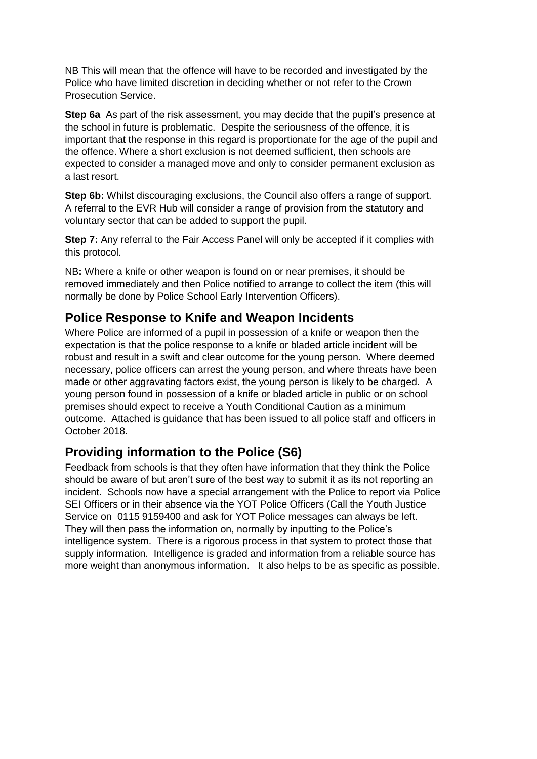NB This will mean that the offence will have to be recorded and investigated by the Police who have limited discretion in deciding whether or not refer to the Crown Prosecution Service.

**Step 6a** As part of the risk assessment, you may decide that the pupil's presence at the school in future is problematic. Despite the seriousness of the offence, it is important that the response in this regard is proportionate for the age of the pupil and the offence. Where a short exclusion is not deemed sufficient, then schools are expected to consider a managed move and only to consider permanent exclusion as a last resort.

**Step 6b:** Whilst discouraging exclusions, the Council also offers a range of support. A referral to the EVR Hub will consider a range of provision from the statutory and voluntary sector that can be added to support the pupil.

**Step 7:** Any referral to the Fair Access Panel will only be accepted if it complies with this protocol.

NB**:** Where a knife or other weapon is found on or near premises, it should be removed immediately and then Police notified to arrange to collect the item (this will normally be done by Police School Early Intervention Officers).

#### **Police Response to Knife and Weapon Incidents**

Where Police are informed of a pupil in possession of a knife or weapon then the expectation is that the police response to a knife or bladed article incident will be robust and result in a swift and clear outcome for the young person. Where deemed necessary, police officers can arrest the young person, and where threats have been made or other aggravating factors exist, the young person is likely to be charged. A young person found in possession of a knife or bladed article in public or on school premises should expect to receive a Youth Conditional Caution as a minimum outcome. Attached is guidance that has been issued to all police staff and officers in October 2018.

#### <span id="page-4-0"></span>**Providing information to the Police (S6)**

Feedback from schools is that they often have information that they think the Police should be aware of but aren't sure of the best way to submit it as its not reporting an incident. Schools now have a special arrangement with the Police to report via Police SEI Officers or in their absence via the YOT Police Officers (Call the Youth Justice Service on 0115 9159400 and ask for YOT Police messages can always be left. They will then pass the information on, normally by inputting to the Police's intelligence system. There is a rigorous process in that system to protect those that supply information. Intelligence is graded and information from a reliable source has more weight than anonymous information. It also helps to be as specific as possible.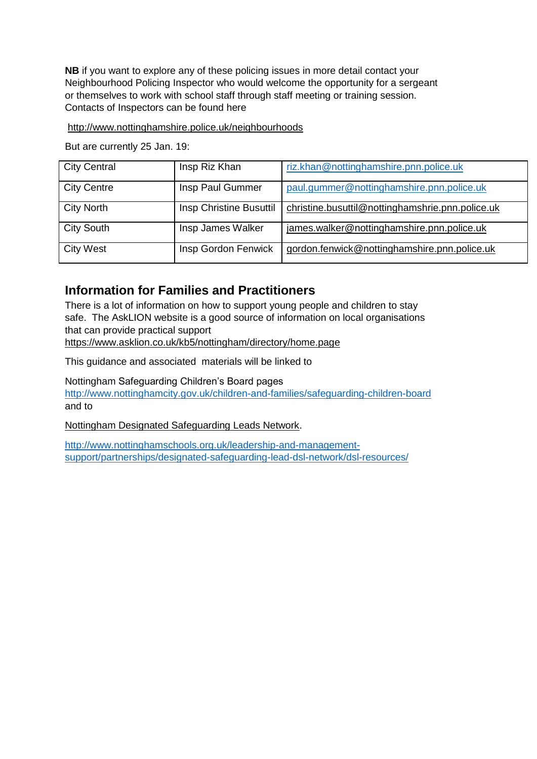**NB** if you want to explore any of these policing issues in more detail contact your Neighbourhood Policing Inspector who would welcome the opportunity for a sergeant or themselves to work with school staff through staff meeting or training session. Contacts of Inspectors can be found here

#### <http://www.nottinghamshire.police.uk/neighbourhoods>

But are currently 25 Jan. 19:

| <b>City Central</b> | Insp Riz Khan           | riz.khan@nottinghamshire.pnn.police.uk           |
|---------------------|-------------------------|--------------------------------------------------|
| <b>City Centre</b>  | Insp Paul Gummer        | paul.gummer@nottinghamshire.pnn.police.uk        |
| <b>City North</b>   | Insp Christine Busuttil | christine.busuttil@nottinghamshrie.pnn.police.uk |
| <b>City South</b>   | Insp James Walker       | james.walker@nottinghamshire.pnn.police.uk       |
| <b>City West</b>    | Insp Gordon Fenwick     | gordon.fenwick@nottinghamshire.pnn.police.uk     |

#### <span id="page-5-0"></span>**Information for Families and Practitioners**

There is a lot of information on how to support young people and children to stay safe. The AskLION website is a good source of information on local organisations that can provide practical support

<https://www.asklion.co.uk/kb5/nottingham/directory/home.page>

This guidance and associated materials will be linked to

Nottingham Safeguarding Children's Board pages

<http://www.nottinghamcity.gov.uk/children-and-families/safeguarding-children-board> and to

Nottingham Designated Safeguarding Leads Network.

<span id="page-5-1"></span>[http://www.nottinghamschools.org.uk/leadership-and-management](http://www.nottinghamschools.org.uk/leadership-and-management-support/partnerships/designated-safeguarding-lead-dsl-network/dsl-resources/)[support/partnerships/designated-safeguarding-lead-dsl-network/dsl-resources/](http://www.nottinghamschools.org.uk/leadership-and-management-support/partnerships/designated-safeguarding-lead-dsl-network/dsl-resources/)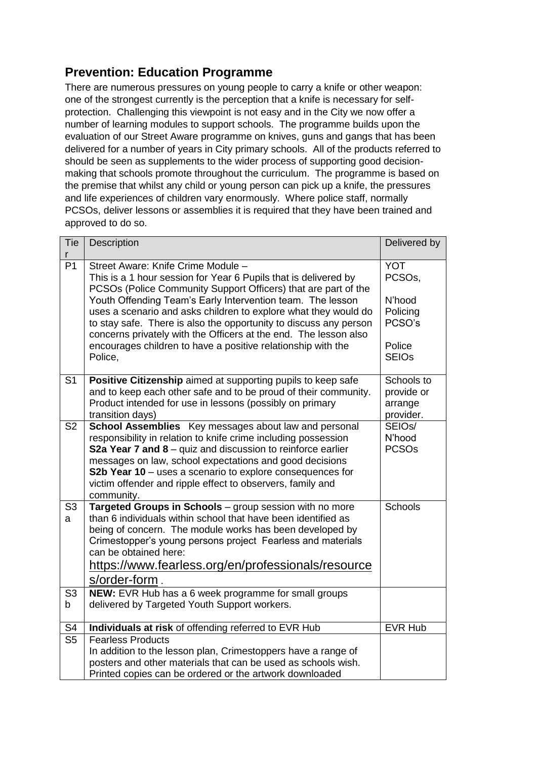## **Prevention: Education Programme**

There are numerous pressures on young people to carry a knife or other weapon: one of the strongest currently is the perception that a knife is necessary for selfprotection. Challenging this viewpoint is not easy and in the City we now offer a number of learning modules to support schools. The programme builds upon the evaluation of our Street Aware programme on knives, guns and gangs that has been delivered for a number of years in City primary schools. All of the products referred to should be seen as supplements to the wider process of supporting good decisionmaking that schools promote throughout the curriculum. The programme is based on the premise that whilst any child or young person can pick up a knife, the pressures and life experiences of children vary enormously. Where police staff, normally PCSOs, deliver lessons or assemblies it is required that they have been trained and approved to do so.

| Tie<br>r            | Description                                                                                                                                                                                                                                                                                                                                                                                       | Delivered by                                     |
|---------------------|---------------------------------------------------------------------------------------------------------------------------------------------------------------------------------------------------------------------------------------------------------------------------------------------------------------------------------------------------------------------------------------------------|--------------------------------------------------|
| P <sub>1</sub>      | Street Aware: Knife Crime Module -<br>This is a 1 hour session for Year 6 Pupils that is delivered by<br>PCSOs (Police Community Support Officers) that are part of the                                                                                                                                                                                                                           | <b>YOT</b><br>PCSO <sub>s</sub> ,                |
|                     | Youth Offending Team's Early Intervention team. The lesson<br>uses a scenario and asks children to explore what they would do<br>to stay safe. There is also the opportunity to discuss any person<br>concerns privately with the Officers at the end. The lesson also                                                                                                                            | N'hood<br>Policing<br>PCSO's                     |
|                     | encourages children to have a positive relationship with the<br>Police,                                                                                                                                                                                                                                                                                                                           | Police<br><b>SEIOs</b>                           |
| S <sub>1</sub>      | Positive Citizenship aimed at supporting pupils to keep safe<br>and to keep each other safe and to be proud of their community.<br>Product intended for use in lessons (possibly on primary<br>transition days)                                                                                                                                                                                   | Schools to<br>provide or<br>arrange<br>provider. |
| S <sub>2</sub>      | School Assemblies Key messages about law and personal<br>responsibility in relation to knife crime including possession<br><b>S2a Year 7 and 8</b> – quiz and discussion to reinforce earlier<br>messages on law, school expectations and good decisions<br>S2b Year 10 - uses a scenario to explore consequences for<br>victim offender and ripple effect to observers, family and<br>community. | SEIO <sub>s</sub> /<br>N'hood<br><b>PCSOs</b>    |
| S <sub>3</sub><br>a | Targeted Groups in Schools - group session with no more<br>than 6 individuals within school that have been identified as<br>being of concern. The module works has been developed by<br>Crimestopper's young persons project Fearless and materials<br>can be obtained here:<br>https://www.fearless.org/en/professionals/resource                                                                | <b>Schools</b>                                   |
| S <sub>3</sub>      | s/order-form.<br>NEW: EVR Hub has a 6 week programme for small groups                                                                                                                                                                                                                                                                                                                             |                                                  |
| b                   | delivered by Targeted Youth Support workers.                                                                                                                                                                                                                                                                                                                                                      |                                                  |
| S4                  | Individuals at risk of offending referred to EVR Hub                                                                                                                                                                                                                                                                                                                                              | <b>EVR Hub</b>                                   |
| S <sub>5</sub>      | <b>Fearless Products</b><br>In addition to the lesson plan, Crimestoppers have a range of<br>posters and other materials that can be used as schools wish.<br>Printed copies can be ordered or the artwork downloaded                                                                                                                                                                             |                                                  |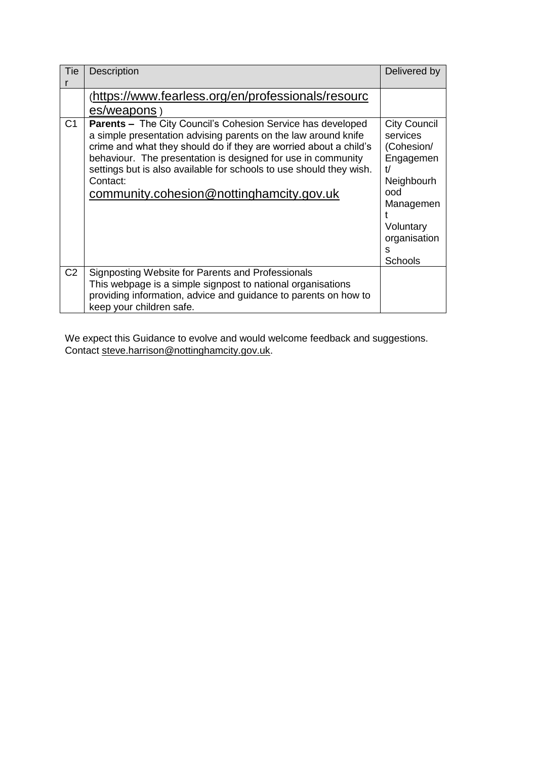| Tie            | <b>Description</b>                                                                                                                                                                                                                                                                                                                 | Delivered by                                                                                                                    |
|----------------|------------------------------------------------------------------------------------------------------------------------------------------------------------------------------------------------------------------------------------------------------------------------------------------------------------------------------------|---------------------------------------------------------------------------------------------------------------------------------|
| C <sub>1</sub> | (https://www.fearless.org/en/professionals/resourc<br>es/weapons)<br><b>Parents - The City Council's Cohesion Service has developed</b>                                                                                                                                                                                            | <b>City Council</b>                                                                                                             |
|                | a simple presentation advising parents on the law around knife<br>crime and what they should do if they are worried about a child's<br>behaviour. The presentation is designed for use in community<br>settings but is also available for schools to use should they wish.<br>Contact:<br>community.cohesion@nottinghamcity.gov.uk | services<br>(Cohesion/<br>Engagemen<br>t/<br>Neighbourh<br>ood<br>Managemen<br>Voluntary<br>organisation<br>S<br><b>Schools</b> |
| C <sub>2</sub> | Signposting Website for Parents and Professionals<br>This webpage is a simple signpost to national organisations<br>providing information, advice and guidance to parents on how to<br>keep your children safe.                                                                                                                    |                                                                                                                                 |

We expect this Guidance to evolve and would welcome feedback and suggestions. Contact [steve.harrison@nottinghamcity.gov.uk.](mailto:steve.harrison@nottinghamcity.gov.uk)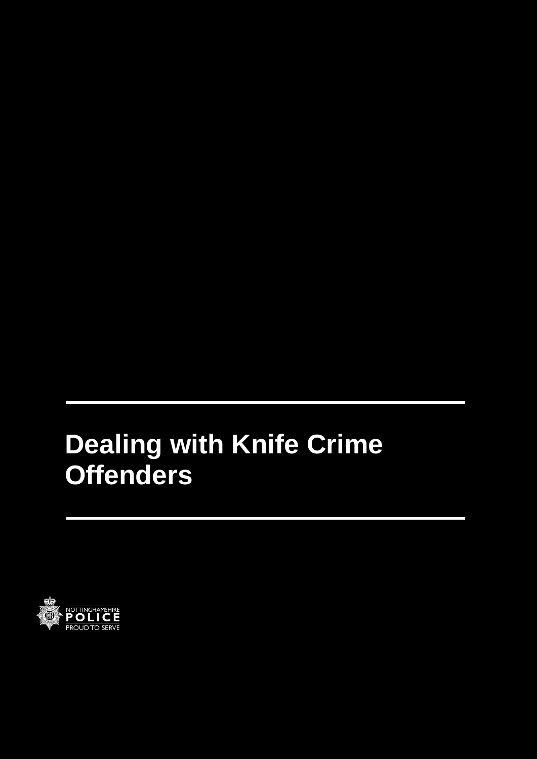# **Dealing with Knife Crime Offenders**

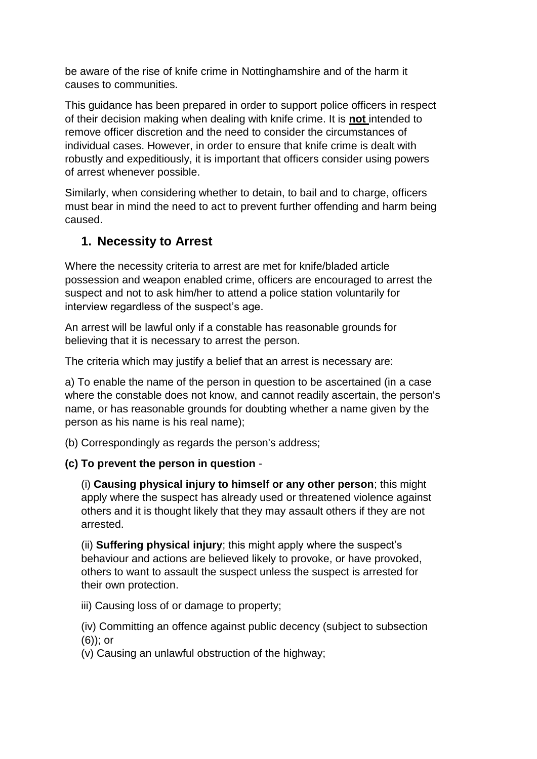be aware of the rise of knife crime in Nottinghamshire and of the harm it causes to communities.

This guidance has been prepared in order to support police officers in respect of their decision making when dealing with knife crime. It is **not** intended to remove officer discretion and the need to consider the circumstances of individual cases. However, in order to ensure that knife crime is dealt with robustly and expeditiously, it is important that officers consider using powers of arrest whenever possible.

Similarly, when considering whether to detain, to bail and to charge, officers must bear in mind the need to act to prevent further offending and harm being caused.

## **1. Necessity to Arrest**

Where the necessity criteria to arrest are met for knife/bladed article possession and weapon enabled crime, officers are encouraged to arrest the suspect and not to ask him/her to attend a police station voluntarily for interview regardless of the suspect's age.

An arrest will be lawful only if a constable has reasonable grounds for believing that it is necessary to arrest the person.

The criteria which may justify a belief that an arrest is necessary are:

a) To enable the name of the person in question to be ascertained (in a case where the constable does not know, and cannot readily ascertain, the person's name, or has reasonable grounds for doubting whether a name given by the person as his name is his real name);

(b) Correspondingly as regards the person's address;

**(c) To prevent the person in question** -

(i) **Causing physical injury to himself or any other person**; this might apply where the suspect has already used or threatened violence against others and it is thought likely that they may assault others if they are not arrested.

(ii) **Suffering physical injury**; this might apply where the suspect's behaviour and actions are believed likely to provoke, or have provoked, others to want to assault the suspect unless the suspect is arrested for their own protection.

iii) Causing loss of or damage to property;

(iv) Committing an offence against public decency (subject to subsection (6)); or

(v) Causing an unlawful obstruction of the highway;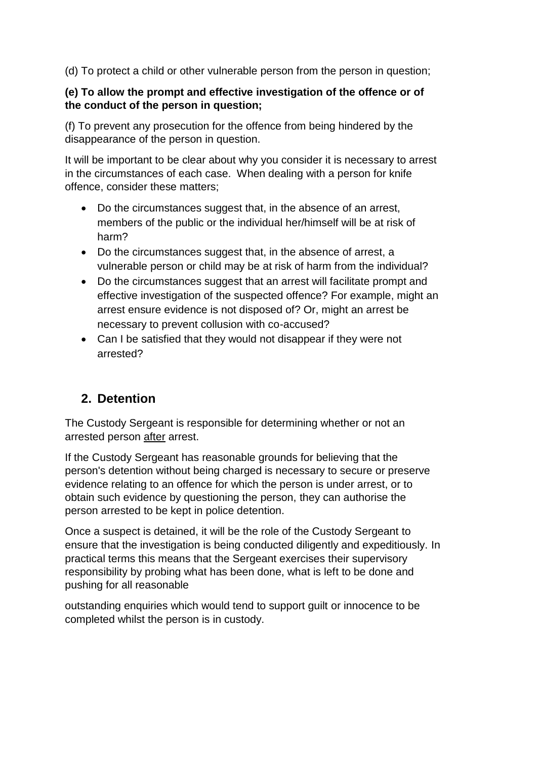(d) To protect a child or other vulnerable person from the person in question;

#### **(e) To allow the prompt and effective investigation of the offence or of the conduct of the person in question;**

(f) To prevent any prosecution for the offence from being hindered by the disappearance of the person in question.

It will be important to be clear about why you consider it is necessary to arrest in the circumstances of each case. When dealing with a person for knife offence, consider these matters;

- Do the circumstances suggest that, in the absence of an arrest, members of the public or the individual her/himself will be at risk of harm?
- Do the circumstances suggest that, in the absence of arrest, a vulnerable person or child may be at risk of harm from the individual?
- Do the circumstances suggest that an arrest will facilitate prompt and effective investigation of the suspected offence? For example, might an arrest ensure evidence is not disposed of? Or, might an arrest be necessary to prevent collusion with co-accused?
- Can I be satisfied that they would not disappear if they were not arrested?

## **2. Detention**

The Custody Sergeant is responsible for determining whether or not an arrested person after arrest.

If the Custody Sergeant has reasonable grounds for believing that the person's detention without being charged is necessary to secure or preserve evidence relating to an offence for which the person is under arrest, or to obtain such evidence by questioning the person, they can authorise the person arrested to be kept in [police detention.](https://docmanager.pnld.co.uk/content/D362.htm)

Once a suspect is detained, it will be the role of the Custody Sergeant to ensure that the investigation is being conducted diligently and expeditiously. In practical terms this means that the Sergeant exercises their supervisory responsibility by probing what has been done, what is left to be done and pushing for all reasonable

outstanding enquiries which would tend to support guilt or innocence to be completed whilst the person is in custody.